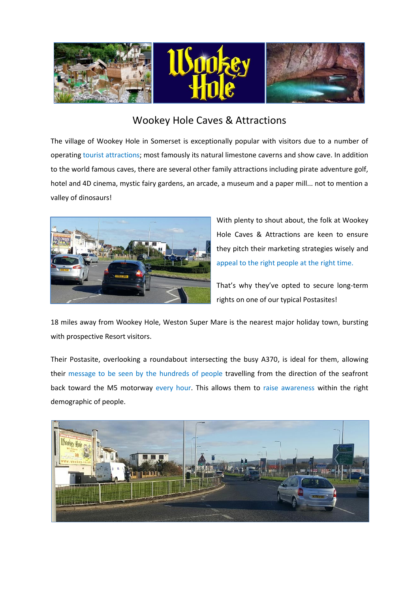

## Wookey Hole Caves & Attractions

The village of Wookey Hole in Somerset is exceptionally popular with visitors due to a number of operating tourist attractions; most famously its natural limestone caverns and show cave. In addition to the world famous caves, there are several other family attractions including pirate adventure golf, hotel and 4D cinema, mystic fairy gardens, an arcade, a museum and a paper mill... not to mention a valley of dinosaurs!



With plenty to shout about, the folk at Wookey Hole Caves & Attractions are keen to ensure they pitch their marketing strategies wisely and appeal to the right people at the right time.

That's why they've opted to secure long-term rights on one of our typical Postasites!

18 miles away from Wookey Hole, Weston Super Mare is the nearest major holiday town, bursting with prospective Resort visitors.

Their Postasite, overlooking a roundabout intersecting the busy A370, is ideal for them, allowing their message to be seen by the hundreds of people travelling from the direction of the seafront back toward the M5 motorway every hour. This allows them to raise awareness within the right demographic of people.